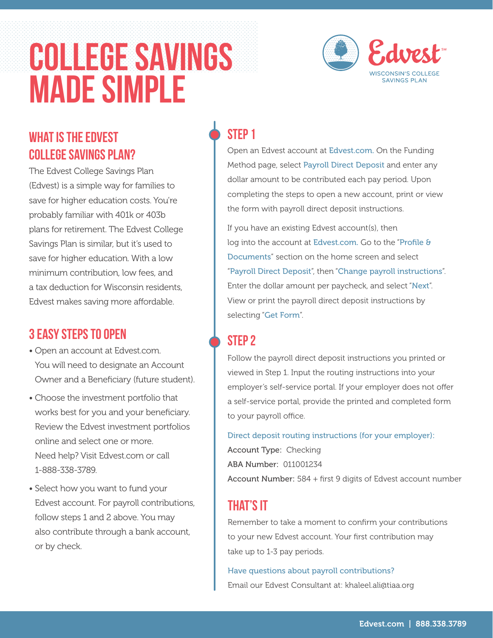# COLLEGE SAVINGS MADE SIMPLE



#### WHAT IS the EDVEST College Savings Plan?

The Edvest College Savings Plan (Edvest) is a simple way for families to save for higher education costs. You're probably familiar with 401k or 403b plans for retirement. The Edvest College Savings Plan is similar, but it's used to save for higher education. With a low minimum contribution, low fees, and a tax deduction for Wisconsin residents, Edvest makes saving more affordable.

#### 3 Easy Steps to Open

- Open an account at Edvest.com. You will need to designate an Account Owner and a Beneficiary (future student).
- Choose the investment portfolio that works best for you and your beneficiary. Review the Edvest investment portfolios online and select one or more. Need help? Visit Edvest.com or call 1-888-338-3789.
- Select how you want to fund your Edvest account. For payroll contributions, follow steps 1 and 2 above. You may also contribute through a bank account, or by check.

#### STFP<sub>1</sub>

Open an Edvest account at Edvest.com. On the Funding Method page, select Payroll Direct Deposit and enter any dollar amount to be contributed each pay period. Upon completing the steps to open a new account, print or view the form with payroll direct deposit instructions.

If you have an existing Edvest account(s), then log into the account at Edvest.com. Go to the "Profile & Documents" section on the home screen and select "Payroll Direct Deposit", then "Change payroll instructions". Enter the dollar amount per paycheck, and select "Next". View or print the payroll direct deposit instructions by selecting "Get Form".

#### STFP<sub>2</sub>

Follow the payroll direct deposit instructions you printed or viewed in Step 1. Input the routing instructions into your employer's self-service portal. If your employer does not offer a self-service portal, provide the printed and completed form to your payroll office.

Direct deposit routing instructions (for your employer):

Account Type: Checking ABA Number: 011001234

Account Number: 584 + first 9 digits of Edvest account number

#### THAT'S IT

Remember to take a moment to confirm your contributions to your new Edvest account. Your first contribution may take up to 1-3 pay periods.

Have questions about payroll contributions? Email our Edvest Consultant at: khaleel.ali@tiaa.org